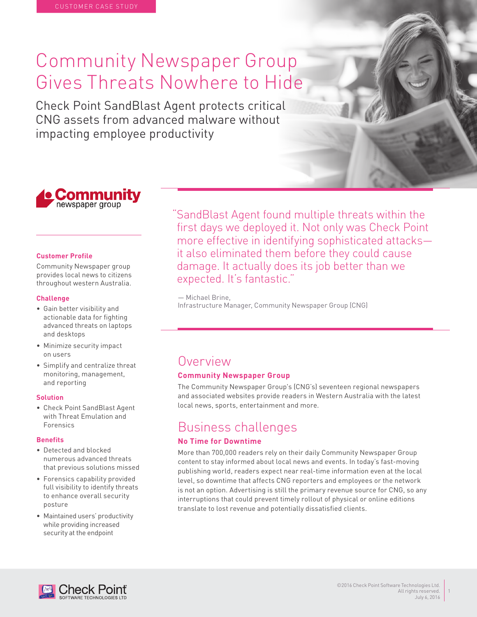# Community Newspaper Group Gives Threats Nowhere to Hide

Check Point SandBlast Agent protects critical CNG assets from advanced malware without impacting employee productivity



#### **Customer Profile**

Community Newspaper group provides local news to citizens throughout western Australia.

#### **Challenge**

- Gain better visibility and actionable data for fighting advanced threats on laptops and desktops
- Minimize security impact on users
- Simplify and centralize threat monitoring, management, and reporting

#### **Solution**

• Check Point SandBlast Agent with Threat Emulation and Forensics

#### **Benefits**

- Detected and blocked numerous advanced threats that previous solutions missed
- Forensics capability provided full visibility to identify threats to enhance overall security posture
- Maintained users' productivity while providing increased security at the endpoint

"SandBlast Agent found multiple threats within the first days we deployed it. Not only was Check Point more effective in identifying sophisticated attacks it also eliminated them before they could cause damage. It actually does its job better than we expected. It's fantastic."

— Michael Brine,

Infrastructure Manager, Community Newspaper Group (CNG)

### Overview

#### **Community Newspaper Group**

The Community Newspaper Group's (CNG's) seventeen regional newspapers and associated websites provide readers in Western Australia with the latest local news, sports, entertainment and more.

## Business challenges

#### **No Time for Downtime**

More than 700,000 readers rely on their daily Community Newspaper Group content to stay informed about local news and events. In today's fast-moving publishing world, readers expect near real-time information even at the local level, so downtime that affects CNG reporters and employees or the network is not an option. Advertising is still the primary revenue source for CNG, so any interruptions that could prevent timely rollout of physical or online editions translate to lost revenue and potentially dissatisfied clients.



1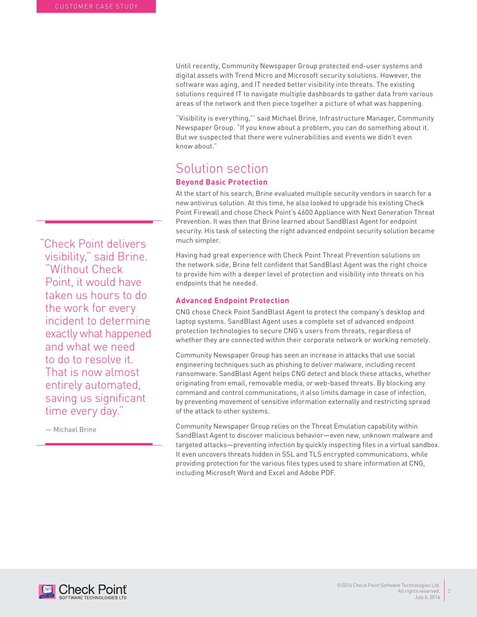Until recently, Community Newspaper Group protected end-user systems and digital assets with Trend Micro and Microsoft security solutions. However, the software was aging, and IT needed better visibility into threats. The existing solutions required IT to navigate multiple dashboards to gather data from various areas of the network and then piece together a picture of what was happening.

"Visibility is everything,"' said Michael Brine, Infrastructure Manager, Community Newspaper Group. "If you know about a problem, you can do something about it. But we suspected that there were vulnerabilities and events we didn't even know about."

### Solution section **Beyond Basic Protection**

At the start of his search, Brine evaluated multiple security vendors in search for a new antivirus solution. At this time, he also looked to upgrade his existing Check Point Firewall and chose Check Point's 4600 Appliance with Next Generation Threat Prevention. It was then that Brine learned about SandBlast Agent for endpoint security. His task of selecting the right advanced endpoint security solution became much simpler.

Having had great experience with Check Point Threat Prevention solutions on the network side, Brine felt confident that SandBlast Agent was the right choice to provide him with a deeper level of protection and visibility into threats on his endpoints that he needed.

#### **Advanced Endpoint Protection**

CNG chose Check Point SandBlast Agent to protect the company's desktop and laptop systems. SandBlast Agent uses a complete set of advanced endpoint protection technologies to secure CNG's users from threats, regardless of whether they are connected within their corporate network or working remotely.

Community Newspaper Group has seen an increase in attacks that use social engineering techniques such as phishing to deliver malware, including recent ransomware. SandBlast Agent helps CNG detect and block these attacks, whether originating from email, removable media, or web-based threats. By blocking any command and control communications, it also limits damage in case of infection, by preventing movement of sensitive information externally and restricting spread of the attack to other systems.

Community Newspaper Group relies on the Threat Emulation capability within SandBlast Agent to discover malicious behavior—even new, unknown malware and targeted attacks—preventing infection by quickly inspecting files in a virtual sandbox. It even uncovers threats hidden in SSL and TLS encrypted communications, while providing protection for the various files types used to share information at CNG, including Microsoft Word and Excel and Adobe PDF.

"Check Point delivers visibility," said Brine. "Without Check Point, it would have taken us hours to do the work for every incident to determine exactly what happened and what we need to do to resolve it. That is now almost entirely automated, saving us significant time every day."

— Michael Brine



 $\overline{2}$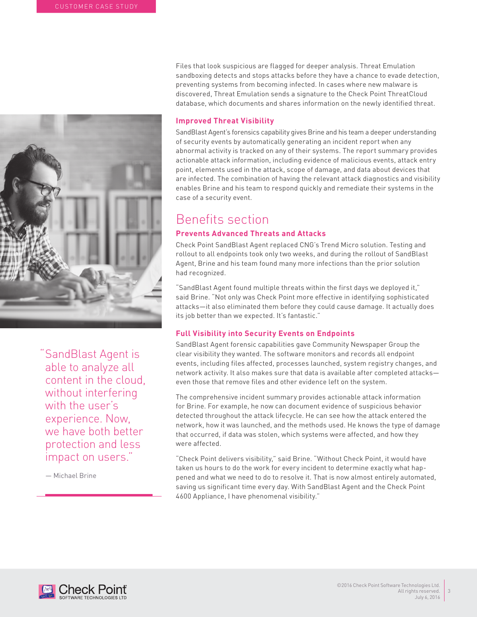

"SandBlast Agent is able to analyze all content in the cloud, without interfering with the user's experience. Now, we have both better protection and less impact on users."

— Michael Brine

Files that look suspicious are flagged for deeper analysis. Threat Emulation sandboxing detects and stops attacks before they have a chance to evade detection, preventing systems from becoming infected. In cases where new malware is discovered, Threat Emulation sends a signature to the Check Point ThreatCloud database, which documents and shares information on the newly identified threat.

#### **Improved Threat Visibility**

SandBlast Agent's forensics capability gives Brine and his team a deeper understanding of security events by automatically generating an incident report when any abnormal activity is tracked on any of their systems. The report summary provides actionable attack information, including evidence of malicious events, attack entry point, elements used in the attack, scope of damage, and data about devices that are infected. The combination of having the relevant attack diagnostics and visibility enables Brine and his team to respond quickly and remediate their systems in the case of a security event.

# Benefits section

#### **Prevents Advanced Threats and Attacks**

Check Point SandBlast Agent replaced CNG's Trend Micro solution. Testing and rollout to all endpoints took only two weeks, and during the rollout of SandBlast Agent, Brine and his team found many more infections than the prior solution had recognized.

"SandBlast Agent found multiple threats within the first days we deployed it," said Brine. "Not only was Check Point more effective in identifying sophisticated attacks—it also eliminated them before they could cause damage. It actually does its job better than we expected. It's fantastic."

#### **Full Visibility into Security Events on Endpoints**

SandBlast Agent forensic capabilities gave Community Newspaper Group the clear visibility they wanted. The software monitors and records all endpoint events, including files affected, processes launched, system registry changes, and network activity. It also makes sure that data is available after completed attacks even those that remove files and other evidence left on the system.

The comprehensive incident summary provides actionable attack information for Brine. For example, he now can document evidence of suspicious behavior detected throughout the attack lifecycle. He can see how the attack entered the network, how it was launched, and the methods used. He knows the type of damage that occurred, if data was stolen, which systems were affected, and how they were affected.

"Check Point delivers visibility," said Brine. "Without Check Point, it would have taken us hours to do the work for every incident to determine exactly what happened and what we need to do to resolve it. That is now almost entirely automated, saving us significant time every day. With SandBlast Agent and the Check Point 4600 Appliance, I have phenomenal visibility."



3